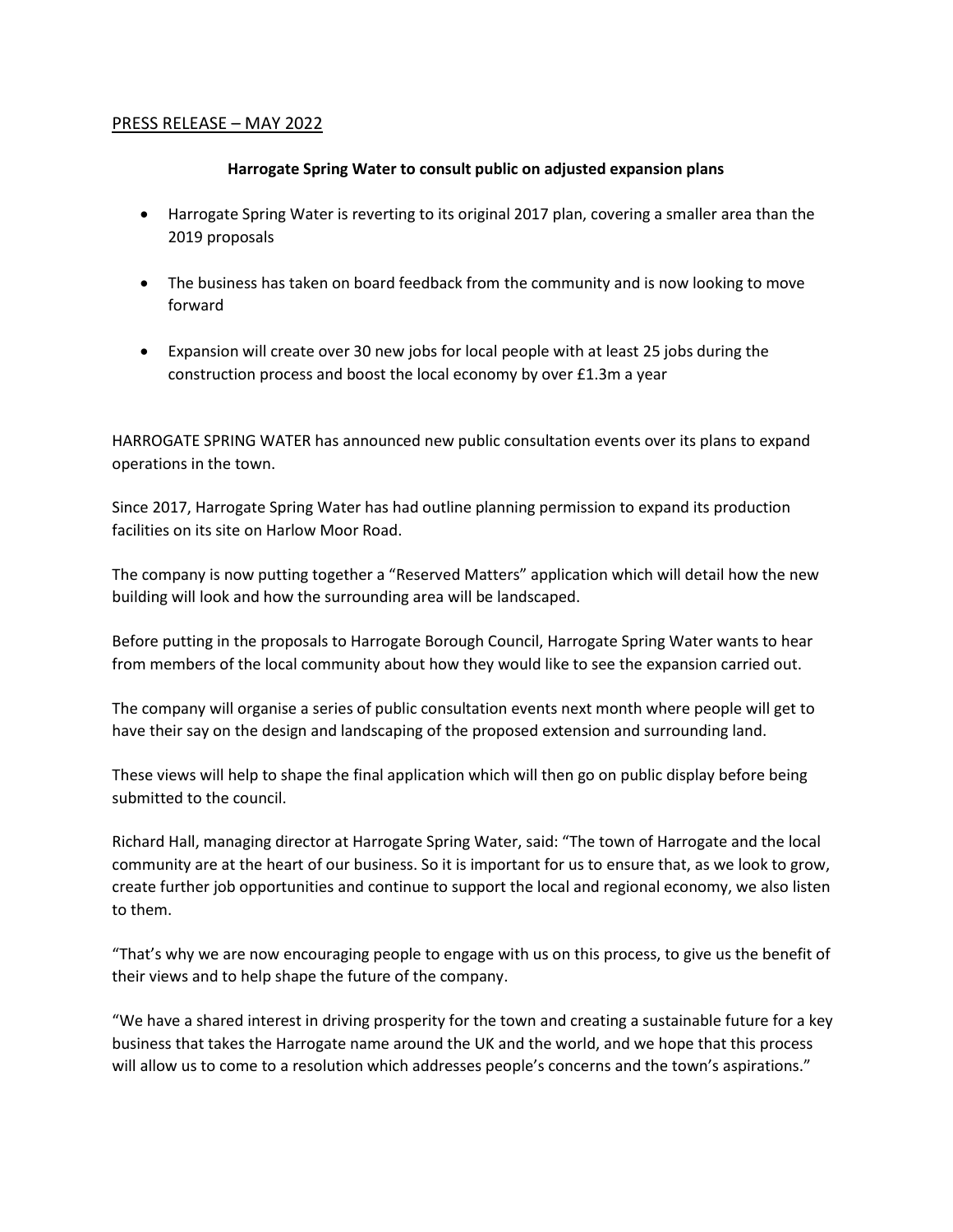## PRESS RELEASE – MAY 2022

## **Harrogate Spring Water to consult public on adjusted expansion plans**

- Harrogate Spring Water is reverting to its original 2017 plan, covering a smaller area than the 2019 proposals
- The business has taken on board feedback from the community and is now looking to move forward
- Expansion will create over 30 new jobs for local people with at least 25 jobs during the construction process and boost the local economy by over £1.3m a year

HARROGATE SPRING WATER has announced new public consultation events over its plans to expand operations in the town.

Since 2017, Harrogate Spring Water has had outline planning permission to expand its production facilities on its site on Harlow Moor Road.

The company is now putting together a "Reserved Matters" application which will detail how the new building will look and how the surrounding area will be landscaped.

Before putting in the proposals to Harrogate Borough Council, Harrogate Spring Water wants to hear from members of the local community about how they would like to see the expansion carried out.

The company will organise a series of public consultation events next month where people will get to have their say on the design and landscaping of the proposed extension and surrounding land.

These views will help to shape the final application which will then go on public display before being submitted to the council.

Richard Hall, managing director at Harrogate Spring Water, said: "The town of Harrogate and the local community are at the heart of our business. So it is important for us to ensure that, as we look to grow, create further job opportunities and continue to support the local and regional economy, we also listen to them.

"That's why we are now encouraging people to engage with us on this process, to give us the benefit of their views and to help shape the future of the company.

"We have a shared interest in driving prosperity for the town and creating a sustainable future for a key business that takes the Harrogate name around the UK and the world, and we hope that this process will allow us to come to a resolution which addresses people's concerns and the town's aspirations."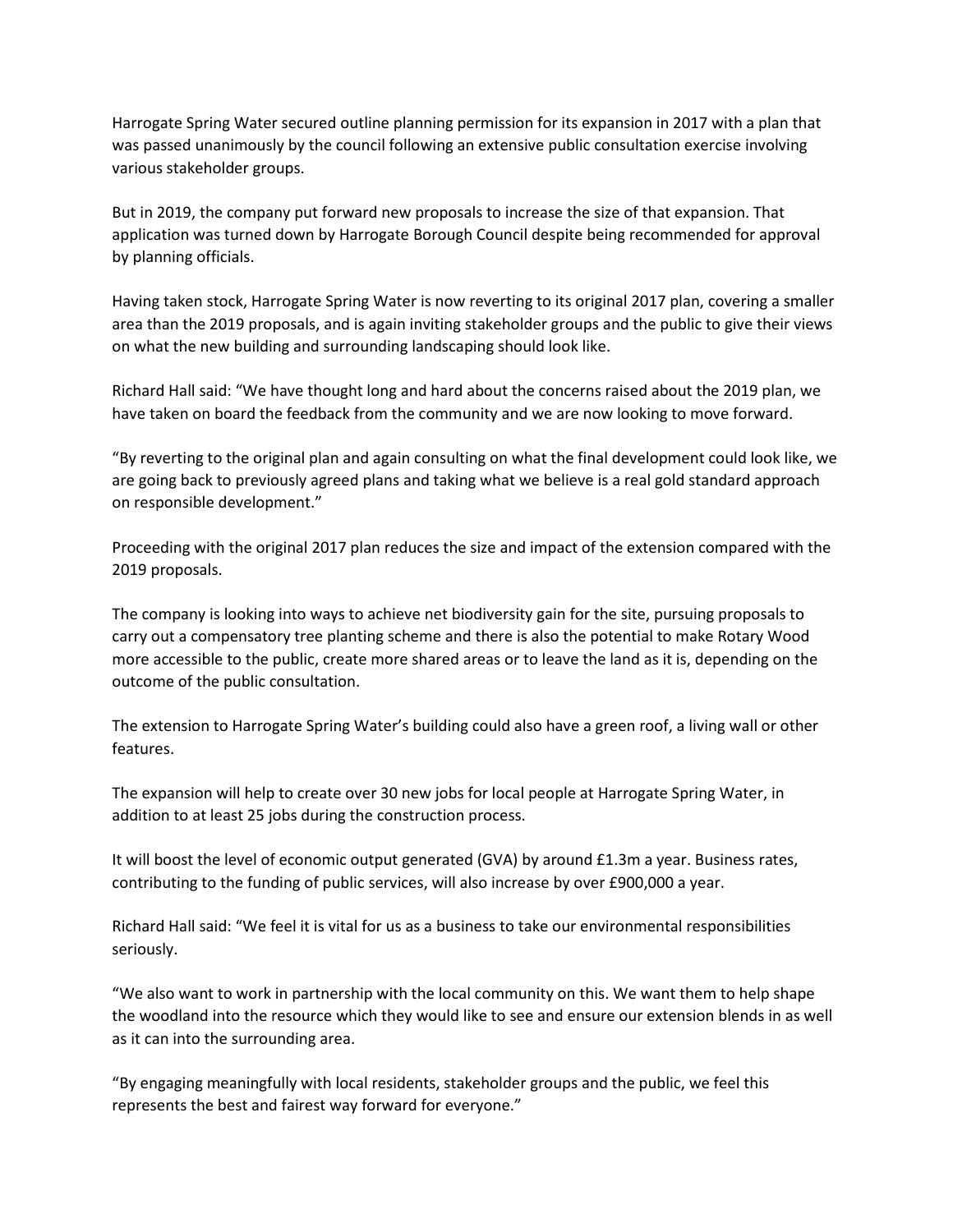Harrogate Spring Water secured outline planning permission for its expansion in 2017 with a plan that was passed unanimously by the council following an extensive public consultation exercise involving various stakeholder groups.

But in 2019, the company put forward new proposals to increase the size of that expansion. That application was turned down by Harrogate Borough Council despite being recommended for approval by planning officials.

Having taken stock, Harrogate Spring Water is now reverting to its original 2017 plan, covering a smaller area than the 2019 proposals, and is again inviting stakeholder groups and the public to give their views on what the new building and surrounding landscaping should look like.

Richard Hall said: "We have thought long and hard about the concerns raised about the 2019 plan, we have taken on board the feedback from the community and we are now looking to move forward.

"By reverting to the original plan and again consulting on what the final development could look like, we are going back to previously agreed plans and taking what we believe is a real gold standard approach on responsible development."

Proceeding with the original 2017 plan reduces the size and impact of the extension compared with the 2019 proposals.

The company is looking into ways to achieve net biodiversity gain for the site, pursuing proposals to carry out a compensatory tree planting scheme and there is also the potential to make Rotary Wood more accessible to the public, create more shared areas or to leave the land as it is, depending on the outcome of the public consultation.

The extension to Harrogate Spring Water's building could also have a green roof, a living wall or other features.

The expansion will help to create over 30 new jobs for local people at Harrogate Spring Water, in addition to at least 25 jobs during the construction process.

It will boost the level of economic output generated (GVA) by around £1.3m a year. Business rates, contributing to the funding of public services, will also increase by over £900,000 a year.

Richard Hall said: "We feel it is vital for us as a business to take our environmental responsibilities seriously.

"We also want to work in partnership with the local community on this. We want them to help shape the woodland into the resource which they would like to see and ensure our extension blends in as well as it can into the surrounding area.

"By engaging meaningfully with local residents, stakeholder groups and the public, we feel this represents the best and fairest way forward for everyone."